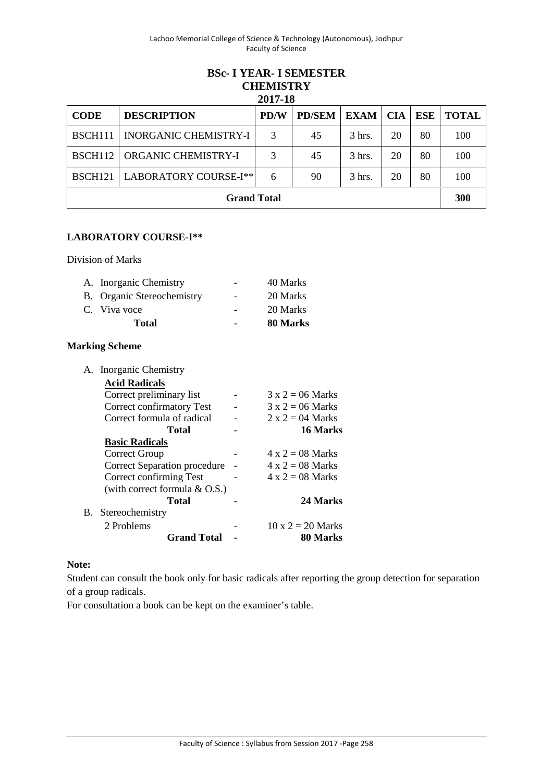### **BSc- I YEAR- I SEMESTER CHEMISTRY 2017-18**

| 2017-10             |                              |      |               |                  |            |            |              |  |  |
|---------------------|------------------------------|------|---------------|------------------|------------|------------|--------------|--|--|
| <b>CODE</b>         | <b>DESCRIPTION</b>           | PD/W | <b>PD/SEM</b> | <b>EXAM</b>      | <b>CIA</b> | <b>ESE</b> | <b>TOTAL</b> |  |  |
| <b>BSCH111</b>      | <b>INORGANIC CHEMISTRY-I</b> | 3    | 45            | $3 \text{ hrs.}$ | 20         | 80         | 100          |  |  |
| BSCH <sub>112</sub> | <b>ORGANIC CHEMISTRY-I</b>   | 3    | 45            | $3$ hrs.         | 20         | 80         | 100          |  |  |
| BSCH <sub>121</sub> | LABORATORY COURSE-I**        | 6    | 90            | $3$ hrs.         | 20         | 80         | 100          |  |  |
| <b>Grand Total</b>  |                              |      |               |                  |            |            |              |  |  |

## **LABORATORY COURSE-I\*\***

Division of Marks

| A. Inorganic Chemistry     |                | 40 Marks |
|----------------------------|----------------|----------|
| B. Organic Stereochemistry | $\sim$         | 20 Marks |
| C. Viva voce               |                | 20 Marks |
| <b>Total</b>               | $\blacksquare$ | 80 Marks |

## **Marking Scheme**

|    | A. Inorganic Chemistry           |                          |
|----|----------------------------------|--------------------------|
|    | <b>Acid Radicals</b>             |                          |
|    | Correct preliminary list         | $3 \times 2 = 06$ Marks  |
|    | Correct confirmatory Test        | $3 \times 2 = 06$ Marks  |
|    | Correct formula of radical       | $2 \times 2 = 04$ Marks  |
|    | Total                            | 16 Marks                 |
|    | <b>Basic Radicals</b>            |                          |
|    | Correct Group                    | $4 \times 2 = 08$ Marks  |
|    | Correct Separation procedure     | $4 \times 2 = 08$ Marks  |
|    | Correct confirming Test          | $4 \times 2 = 08$ Marks  |
|    | (with correct formula $& O.S.$ ) |                          |
|    | Total                            | 24 Marks                 |
| В. | Stereochemistry                  |                          |
|    | 2 Problems                       | $10 \times 2 = 20$ Marks |
|    | <b>Grand Total</b>               | 80 Marks                 |
|    |                                  |                          |

## **Note:**

Student can consult the book only for basic radicals after reporting the group detection for separation of a group radicals.

For consultation a book can be kept on the examiner's table.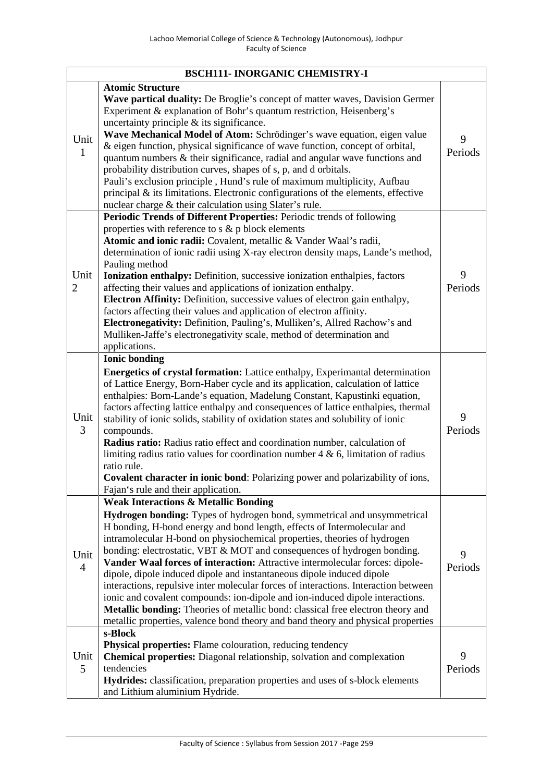|                        | <b>BSCH111- INORGANIC CHEMISTRY-I</b>                                                                                                                                                                                                                                                                                                                                                                                                                                                                                                                                                                                                                                                                                                                                                                                                                                |              |
|------------------------|----------------------------------------------------------------------------------------------------------------------------------------------------------------------------------------------------------------------------------------------------------------------------------------------------------------------------------------------------------------------------------------------------------------------------------------------------------------------------------------------------------------------------------------------------------------------------------------------------------------------------------------------------------------------------------------------------------------------------------------------------------------------------------------------------------------------------------------------------------------------|--------------|
| Unit<br>1              | <b>Atomic Structure</b><br>Wave partical duality: De Broglie's concept of matter waves, Davision Germer<br>Experiment & explanation of Bohr's quantum restriction, Heisenberg's<br>uncertainty principle $\&$ its significance.<br>Wave Mechanical Model of Atom: Schrödinger's wave equation, eigen value<br>& eigen function, physical significance of wave function, concept of orbital,<br>quantum numbers $\&$ their significance, radial and angular wave functions and<br>probability distribution curves, shapes of s, p, and d orbitals.<br>Pauli's exclusion principle, Hund's rule of maximum multiplicity, Aufbau<br>principal $\&$ its limitations. Electronic configurations of the elements, effective<br>nuclear charge & their calculation using Slater's rule.                                                                                     | 9<br>Periods |
| Unit<br>$\overline{2}$ | Periodic Trends of Different Properties: Periodic trends of following<br>properties with reference to $s \& p$ block elements<br>Atomic and ionic radii: Covalent, metallic & Vander Waal's radii,<br>determination of ionic radii using X-ray electron density maps, Lande's method,<br>Pauling method<br><b>Ionization enthalpy:</b> Definition, successive ionization enthalpies, factors<br>affecting their values and applications of ionization enthalpy.<br>Electron Affinity: Definition, successive values of electron gain enthalpy,<br>factors affecting their values and application of electron affinity.<br>Electronegativity: Definition, Pauling's, Mulliken's, Allred Rachow's and<br>Mulliken-Jaffe's electronegativity scale, method of determination and<br>applications.                                                                        | 9<br>Periods |
| Unit<br>3              | <b>Ionic bonding</b><br><b>Energetics of crystal formation:</b> Lattice enthalpy, Experimantal determination<br>of Lattice Energy, Born-Haber cycle and its application, calculation of lattice<br>enthalpies: Born-Lande's equation, Madelung Constant, Kapustinki equation,<br>factors affecting lattice enthalpy and consequences of lattice enthalpies, thermal<br>stability of ionic solids, stability of oxidation states and solubility of ionic<br>compounds.<br>Radius ratio: Radius ratio effect and coordination number, calculation of<br>limiting radius ratio values for coordination number $4 \& 6$ , limitation of radius<br>ratio rule.<br>Covalent character in ionic bond: Polarizing power and polarizability of ions,<br>Fajan's rule and their application.                                                                                   | 9<br>Periods |
| Unit<br>4              | <b>Weak Interactions &amp; Metallic Bonding</b><br>Hydrogen bonding: Types of hydrogen bond, symmetrical and unsymmetrical<br>H bonding, H-bond energy and bond length, effects of Intermolecular and<br>intramolecular H-bond on physiochemical properties, theories of hydrogen<br>bonding: electrostatic, VBT & MOT and consequences of hydrogen bonding.<br>Vander Waal forces of interaction: Attractive intermolecular forces: dipole-<br>dipole, dipole induced dipole and instantaneous dipole induced dipole<br>interactions, repulsive inter molecular forces of interactions. Interaction between<br>ionic and covalent compounds: ion-dipole and ion-induced dipole interactions.<br>Metallic bonding: Theories of metallic bond: classical free electron theory and<br>metallic properties, valence bond theory and band theory and physical properties | 9<br>Periods |
| Unit<br>5              | s-Block<br>Physical properties: Flame colouration, reducing tendency<br>Chemical properties: Diagonal relationship, solvation and complexation<br>tendencies<br>Hydrides: classification, preparation properties and uses of s-block elements<br>and Lithium aluminium Hydride.                                                                                                                                                                                                                                                                                                                                                                                                                                                                                                                                                                                      | 9<br>Periods |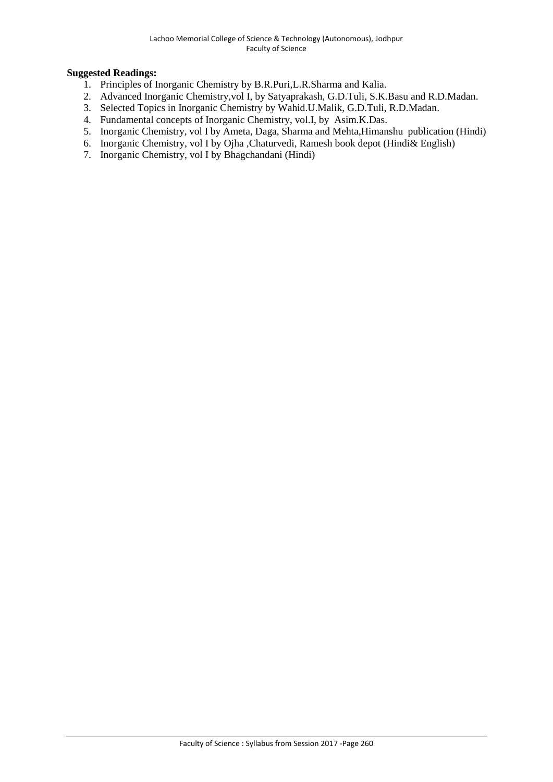- 1. Principles of Inorganic Chemistry by B.R.Puri,L.R.Sharma and Kalia.
- 2. Advanced Inorganic Chemistry,vol I, by Satyaprakash, G.D.Tuli, S.K.Basu and R.D.Madan.
- 3. Selected Topics in Inorganic Chemistry by Wahid.U.Malik, G.D.Tuli, R.D.Madan.
- 4. Fundamental concepts of Inorganic Chemistry, vol.I, by Asim.K.Das.
- 5. Inorganic Chemistry, vol I by Ameta, Daga, Sharma and Mehta,Himanshu publication (Hindi)
- 6. Inorganic Chemistry, vol I by Ojha ,Chaturvedi, Ramesh book depot (Hindi& English)
- 7. Inorganic Chemistry, vol I by Bhagchandani (Hindi)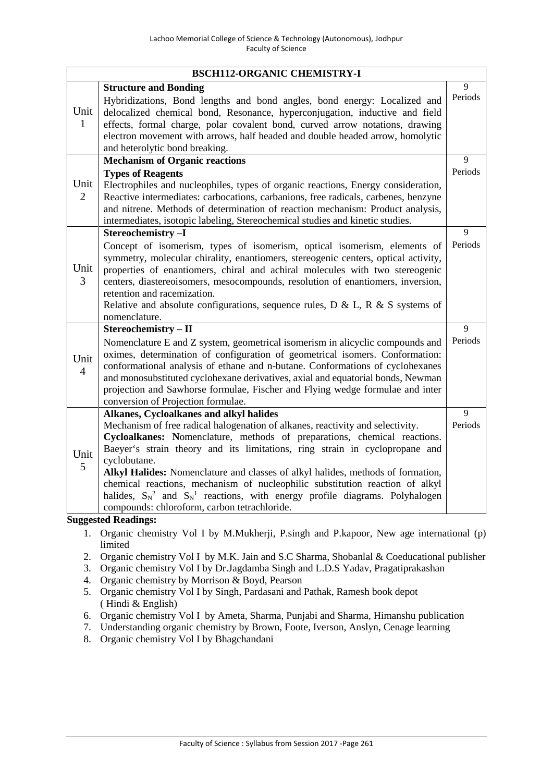|                        | <b>BSCH112-ORGANIC CHEMISTRY-I</b>                                                                                                                                                                                                                                                                                                                                                                                                                                                                                                                                |                |
|------------------------|-------------------------------------------------------------------------------------------------------------------------------------------------------------------------------------------------------------------------------------------------------------------------------------------------------------------------------------------------------------------------------------------------------------------------------------------------------------------------------------------------------------------------------------------------------------------|----------------|
|                        | <b>Structure and Bonding</b><br>Hybridizations, Bond lengths and bond angles, bond energy: Localized and                                                                                                                                                                                                                                                                                                                                                                                                                                                          | 9<br>Periods   |
| Unit<br>$\mathbf{1}$   | delocalized chemical bond, Resonance, hyperconjugation, inductive and field<br>effects, formal charge, polar covalent bond, curved arrow notations, drawing<br>electron movement with arrows, half headed and double headed arrow, homolytic<br>and heterolytic bond breaking.                                                                                                                                                                                                                                                                                    |                |
|                        | <b>Mechanism of Organic reactions</b>                                                                                                                                                                                                                                                                                                                                                                                                                                                                                                                             | 9              |
| Unit<br>$\overline{2}$ | <b>Types of Reagents</b><br>Electrophiles and nucleophiles, types of organic reactions, Energy consideration,<br>Reactive intermediates: carbocations, carbanions, free radicals, carbenes, benzyne<br>and nitrene. Methods of determination of reaction mechanism: Product analysis,<br>intermediates, isotopic labeling, Stereochemical studies and kinetic studies.                                                                                                                                                                                            | Periods        |
|                        | Stereochemistry-I                                                                                                                                                                                                                                                                                                                                                                                                                                                                                                                                                 | 9              |
| Unit<br>3              | Concept of isomerism, types of isomerism, optical isomerism, elements of<br>symmetry, molecular chirality, enantiomers, stereogenic centers, optical activity,<br>properties of enantiomers, chiral and achiral molecules with two stereogenic<br>centers, diastereoisomers, mesocompounds, resolution of enantiomers, inversion,<br>retention and racemization.<br>Relative and absolute configurations, sequence rules, $D & L$ , $R & S$ systems of<br>nomenclature.                                                                                           | Periods        |
|                        | Stereochemistry - II                                                                                                                                                                                                                                                                                                                                                                                                                                                                                                                                              | $\overline{9}$ |
| Unit<br>$\overline{4}$ | Nomenclature E and Z system, geometrical isomerism in alicyclic compounds and<br>oximes, determination of configuration of geometrical isomers. Conformation:<br>conformational analysis of ethane and n-butane. Conformations of cyclohexanes<br>and monosubstituted cyclohexane derivatives, axial and equatorial bonds, Newman<br>projection and Sawhorse formulae, Fischer and Flying wedge formulae and inter<br>conversion of Projection formulae.                                                                                                          | Periods        |
|                        | Alkanes, Cycloalkanes and alkyl halides                                                                                                                                                                                                                                                                                                                                                                                                                                                                                                                           | 9              |
| Unit<br>5              | Mechanism of free radical halogenation of alkanes, reactivity and selectivity.<br>Cycloalkanes: Nomenclature, methods of preparations, chemical reactions.<br>Baeyer's strain theory and its limitations, ring strain in cyclopropane and<br>cyclobutane.<br>Alkyl Halides: Nomenclature and classes of alkyl halides, methods of formation,<br>chemical reactions, mechanism of nucleophilic substitution reaction of alkyl<br>halides, $S_N^2$ and $S_N^1$ reactions, with energy profile diagrams. Polyhalogen<br>compounds: chloroform, carbon tetrachloride. | Periods        |

- 1. Organic chemistry Vol I by M.Mukherji, P.singh and P.kapoor, New age international (p) limited
- 2. Organic chemistry Vol I by M.K. Jain and S.C Sharma, Shobanlal & Coeducational publisher
- 3. Organic chemistry Vol I by Dr.Jagdamba Singh and L.D.S Yadav, Pragatiprakashan
- 4. Organic chemistry by Morrison & Boyd, Pearson
- 5. Organic chemistry Vol I by Singh, Pardasani and Pathak, Ramesh book depot ( Hindi & English)
- 6. Organic chemistry Vol I by Ameta, Sharma, Punjabi and Sharma, Himanshu publication
- 7. Understanding organic chemistry by Brown, Foote, Iverson, Anslyn, Cenage learning
- 8. Organic chemistry Vol I by Bhagchandani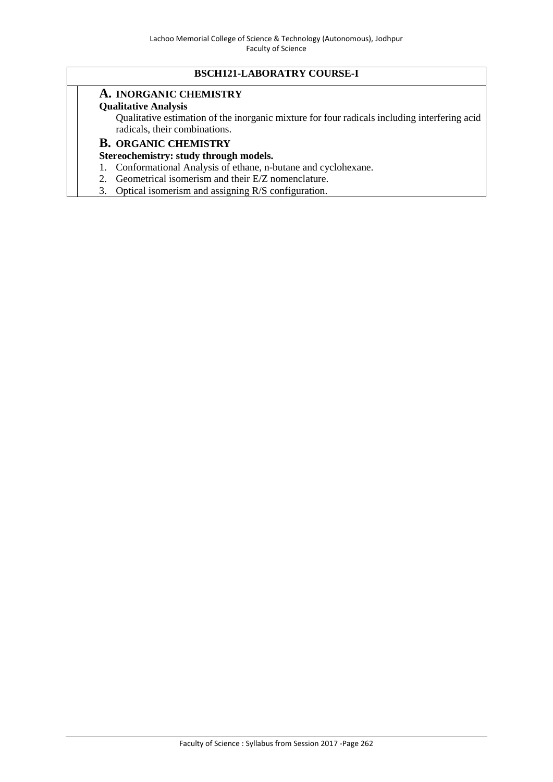# **BSCH121-LABORATRY COURSE-I**

### **A. INORGANIC CHEMISTRY**

#### **Qualitative Analysis**

Qualitative estimation of the inorganic mixture for four radicals including interfering acid radicals, their combinations.

## **B. ORGANIC CHEMISTRY**

## **Stereochemistry: study through models.**

- 1. Conformational Analysis of ethane, n-butane and cyclohexane.
- 2. Geometrical isomerism and their E/Z nomenclature.
- 3. Optical isomerism and assigning R/S configuration.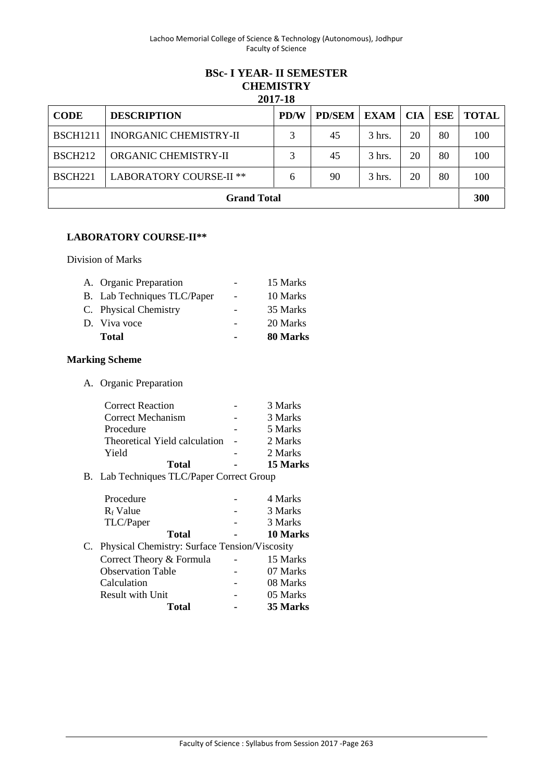### **BSc- I YEAR- II SEMESTER CHEMISTRY 2017-18**

|                 |                                | <i>E</i> VIT-10 |               |                  |     |     |              |
|-----------------|--------------------------------|-----------------|---------------|------------------|-----|-----|--------------|
| <b>CODE</b>     | <b>DESCRIPTION</b>             | <b>PD/W</b>     | <b>PD/SEM</b> | <b>EXAM</b>      | CIA | ESE | <b>TOTAL</b> |
| <b>BSCH1211</b> | <b>INORGANIC CHEMISTRY-II</b>  |                 | 45            | $3$ hrs.         | 20  | 80  | 100          |
| <b>BSCH212</b>  | ORGANIC CHEMISTRY-II           | 3               | 45            | $3 \text{ hrs.}$ | 20  | 80  | 100          |
| <b>BSCH221</b>  | <b>LABORATORY COURSE-II **</b> | 6               | 90            | $3$ hrs.         | 20  | 80  | 100          |
|                 | <b>Grand Total</b>             |                 |               |                  |     |     | 300          |

## **LABORATORY COURSE-II\*\***

Division of Marks

| A. Organic Preparation      |                          | 15 Marks |
|-----------------------------|--------------------------|----------|
| B. Lab Techniques TLC/Paper | $\overline{\phantom{a}}$ | 10 Marks |
| C. Physical Chemistry       | $\overline{\phantom{0}}$ | 35 Marks |
| D. Viva voce                |                          | 20 Marks |
| <b>Total</b>                |                          | 80 Marks |

# **Marking Scheme**

A. Organic Preparation

| Total                         | 15 Marks |
|-------------------------------|----------|
| Yield                         | 2 Marks  |
| Theoretical Yield calculation | 2 Marks  |
| Procedure                     | 5 Marks  |
| Correct Mechanism             | 3 Marks  |
| <b>Correct Reaction</b>       | 3 Marks  |

B. Lab Techniques TLC/Paper Correct Group

| Procedure                                        | 4 Marks  |  |
|--------------------------------------------------|----------|--|
| $R_f$ Value                                      | 3 Marks  |  |
| TLC/Paper                                        | 3 Marks  |  |
| <b>Total</b>                                     | 10 Marks |  |
| C. Physical Chemistry: Surface Tension/Viscosity |          |  |
| Correct Theory & Formula                         | 15 Marks |  |
| <b>Observation Table</b>                         | 07 Marks |  |
| Calculation                                      | 08 Marks |  |
| <b>Result with Unit</b>                          | 05 Marks |  |
| Total                                            | 35 Marks |  |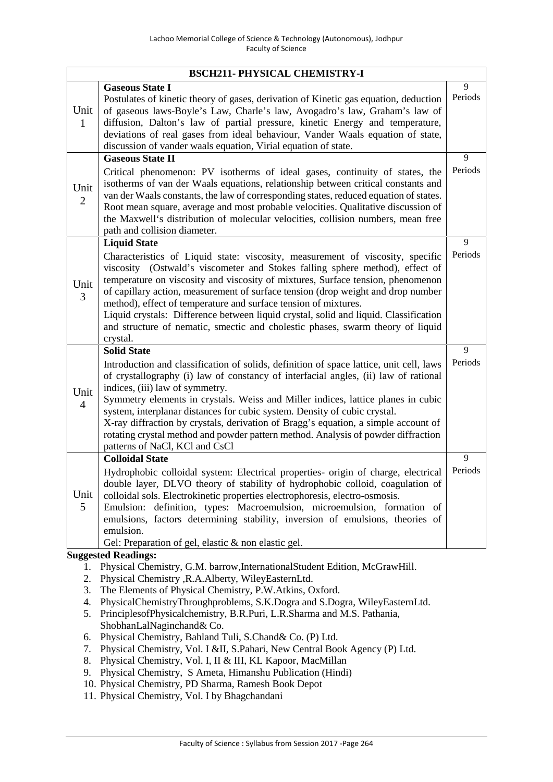|                        | <b>BSCH211- PHYSICAL CHEMISTRY-I</b>                                                                                                                                                                                                                                                                                                                                                                                                                                                                                                                                                            |              |
|------------------------|-------------------------------------------------------------------------------------------------------------------------------------------------------------------------------------------------------------------------------------------------------------------------------------------------------------------------------------------------------------------------------------------------------------------------------------------------------------------------------------------------------------------------------------------------------------------------------------------------|--------------|
| Unit<br>1              | <b>Gaseous State I</b><br>Postulates of kinetic theory of gases, derivation of Kinetic gas equation, deduction<br>of gaseous laws-Boyle's Law, Charle's law, Avogadro's law, Graham's law of<br>diffusion, Dalton's law of partial pressure, kinetic Energy and temperature,<br>deviations of real gases from ideal behaviour, Vander Waals equation of state,<br>discussion of vander waals equation, Virial equation of state.                                                                                                                                                                | 9<br>Periods |
|                        | <b>Gaseous State II</b>                                                                                                                                                                                                                                                                                                                                                                                                                                                                                                                                                                         | 9            |
| Unit<br>$\overline{2}$ | Critical phenomenon: PV isotherms of ideal gases, continuity of states, the<br>isotherms of van der Waals equations, relationship between critical constants and<br>van der Waals constants, the law of corresponding states, reduced equation of states.<br>Root mean square, average and most probable velocities. Qualitative discussion of<br>the Maxwell's distribution of molecular velocities, collision numbers, mean free<br>path and collision diameter.                                                                                                                              | Periods      |
|                        | <b>Liquid State</b>                                                                                                                                                                                                                                                                                                                                                                                                                                                                                                                                                                             | 9            |
| Unit<br>3              | Characteristics of Liquid state: viscosity, measurement of viscosity, specific<br>viscosity (Ostwald's viscometer and Stokes falling sphere method), effect of<br>temperature on viscosity and viscosity of mixtures, Surface tension, phenomenon<br>of capillary action, measurement of surface tension (drop weight and drop number<br>method), effect of temperature and surface tension of mixtures.<br>Liquid crystals: Difference between liquid crystal, solid and liquid. Classification<br>and structure of nematic, smectic and cholestic phases, swarm theory of liquid<br>crystal.  | Periods      |
|                        | <b>Solid State</b>                                                                                                                                                                                                                                                                                                                                                                                                                                                                                                                                                                              | 9            |
| Unit<br>$\overline{4}$ | Introduction and classification of solids, definition of space lattice, unit cell, laws<br>of crystallography (i) law of constancy of interfacial angles, (ii) law of rational<br>indices, (iii) law of symmetry.<br>Symmetry elements in crystals. Weiss and Miller indices, lattice planes in cubic<br>system, interplanar distances for cubic system. Density of cubic crystal.<br>X-ray diffraction by crystals, derivation of Bragg's equation, a simple account of<br>rotating crystal method and powder pattern method. Analysis of powder diffraction<br>patterns of NaCl, KCl and CsCl | Periods      |
|                        | <b>Colloidal State</b>                                                                                                                                                                                                                                                                                                                                                                                                                                                                                                                                                                          | 9            |
| Unit<br>5              | Hydrophobic colloidal system: Electrical properties- origin of charge, electrical<br>double layer, DLVO theory of stability of hydrophobic colloid, coagulation of<br>colloidal sols. Electrokinetic properties electrophoresis, electro-osmosis.<br>Emulsion: definition, types: Macroemulsion, microemulsion, formation of<br>emulsions, factors determining stability, inversion of emulsions, theories of<br>emulsion.                                                                                                                                                                      | Periods      |
|                        | Gel: Preparation of gel, elastic & non elastic gel.                                                                                                                                                                                                                                                                                                                                                                                                                                                                                                                                             |              |
| 1.<br>2.               | <b>Suggested Readings:</b><br>Physical Chemistry, G.M. barrow, International Student Edition, McGrawHill.<br>Physical Chemistry , R.A.Alberty, WileyEasternLtd.                                                                                                                                                                                                                                                                                                                                                                                                                                 |              |

- 3. The Elements of Physical Chemistry, P.W.Atkins, Oxford.
- 4. PhysicalChemistryThroughproblems, S.K.Dogra and S.Dogra, WileyEasternLtd.
- 5. PrinciplesofPhysicalchemistry, B.R.Puri, L.R.Sharma and M.S. Pathania, ShobhanLalNaginchand& Co.
- 6. Physical Chemistry, Bahland Tuli, S.Chand& Co. (P) Ltd.
- 7. Physical Chemistry, Vol. I &II, S.Pahari, New Central Book Agency (P) Ltd.
- 8. Physical Chemistry, Vol. I, II & III, KL Kapoor, MacMillan
- 9. Physical Chemistry, S Ameta, Himanshu Publication (Hindi)
- 10. Physical Chemistry, PD Sharma, Ramesh Book Depot
- 11. Physical Chemistry, Vol. I by Bhagchandani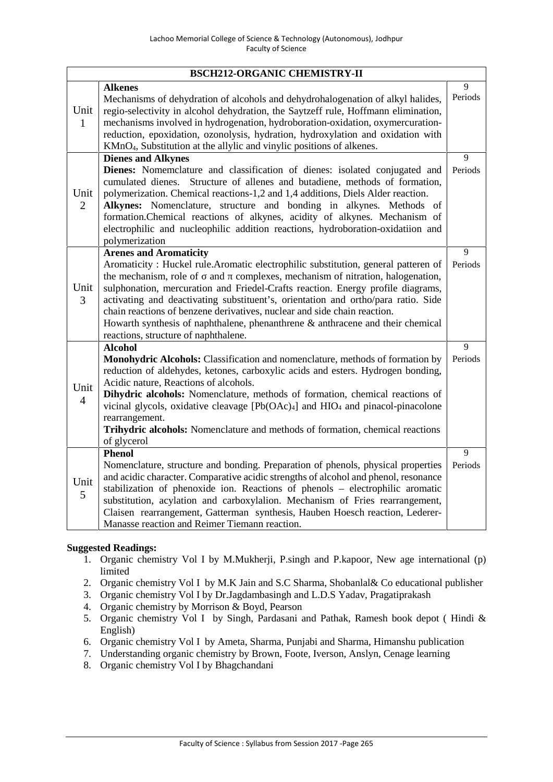|                        | <b>BSCH212-ORGANIC CHEMISTRY-II</b>                                                                                                                                                                                                                                                                                                                                                                                                                                                                                                                                                        |              |
|------------------------|--------------------------------------------------------------------------------------------------------------------------------------------------------------------------------------------------------------------------------------------------------------------------------------------------------------------------------------------------------------------------------------------------------------------------------------------------------------------------------------------------------------------------------------------------------------------------------------------|--------------|
| Unit<br>$\mathbf{1}$   | <b>Alkenes</b><br>Mechanisms of dehydration of alcohols and dehydrohalogenation of alkyl halides,<br>regio-selectivity in alcohol dehydration, the Saytzeff rule, Hoffmann elimination,<br>mechanisms involved in hydrogenation, hydroboration-oxidation, oxymercuration-<br>reduction, epoxidation, ozonolysis, hydration, hydroxylation and oxidation with<br>KMnO <sub>4</sub> , Substitution at the allylic and vinylic positions of alkenes.                                                                                                                                          | 9<br>Periods |
| Unit<br>$\overline{2}$ | <b>Dienes and Alkynes</b><br>Dienes: Nomemclature and classification of dienes: isolated conjugated and<br>cumulated dienes. Structure of allenes and butadiene, methods of formation,<br>polymerization. Chemical reactions-1,2 and 1,4 additions, Diels Alder reaction.<br>Alkynes: Nomenclature, structure and bonding in alkynes. Methods<br>-of<br>formation.Chemical reactions of alkynes, acidity of alkynes. Mechanism of<br>electrophilic and nucleophilic addition reactions, hydroboration-oxidatiion and<br>polymerization                                                     | 9<br>Periods |
| Unit<br>3              | <b>Arenes and Aromaticity</b><br>Aromaticity : Huckel rule. Aromatic electrophilic substitution, general patteren of<br>the mechanism, role of<br>and<br>complexes, mechanism of nitration, halogenation,<br>sulphonation, mercuration and Friedel-Crafts reaction. Energy profile diagrams,<br>activating and deactivating substituent's, orientation and ortho/para ratio. Side<br>chain reactions of benzene derivatives, nuclear and side chain reaction.<br>Howarth synthesis of naphthalene, phenanthrene $\&$ anthracene and their chemical<br>reactions, structure of naphthalene. | 9<br>Periods |
| Unit<br>$\overline{4}$ | <b>Alcohol</b><br>Monohydric Alcohols: Classification and nomenclature, methods of formation by<br>reduction of aldehydes, ketones, carboxylic acids and esters. Hydrogen bonding,<br>Acidic nature, Reactions of alcohols.<br>Dihydric alcohols: Nomenclature, methods of formation, chemical reactions of<br>vicinal glycols, oxidative cleavage [Pb(OAc) <sub>4</sub> ] and HIO <sub>4</sub> and pinacol-pinacolone<br>rearrangement.<br>Trihydric alcohols: Nomenclature and methods of formation, chemical reactions<br>of glycerol                                                   | 9<br>Periods |
| Unit<br>5              | <b>Phenol</b><br>Nomenclature, structure and bonding. Preparation of phenols, physical properties<br>and acidic character. Comparative acidic strengths of alcohol and phenol, resonance<br>stabilization of phenoxide ion. Reactions of phenols - electrophilic aromatic<br>substitution, acylation and carboxylalion. Mechanism of Fries rearrangement,<br>Claisen rearrangement, Gatterman synthesis, Hauben Hoesch reaction, Lederer-<br>Manasse reaction and Reimer Tiemann reaction.                                                                                                 | 9<br>Periods |

- 1. Organic chemistry Vol I by M.Mukherji, P.singh and P.kapoor, New age international (p) limited
- 2. Organic chemistry Vol I by M.K Jain and S.C Sharma, Shobanlal& Co educational publisher
- 3. Organic chemistry Vol I by Dr.Jagdambasingh and L.D.S Yadav, Pragatiprakash
- 4. Organic chemistry by Morrison & Boyd, Pearson
- 5. Organic chemistry Vol I by Singh, Pardasani and Pathak, Ramesh book depot ( Hindi & English)
- 6. Organic chemistry Vol I by Ameta, Sharma, Punjabi and Sharma, Himanshu publication
- 7. Understanding organic chemistry by Brown, Foote, Iverson, Anslyn, Cenage learning
- 8. Organic chemistry Vol I by Bhagchandani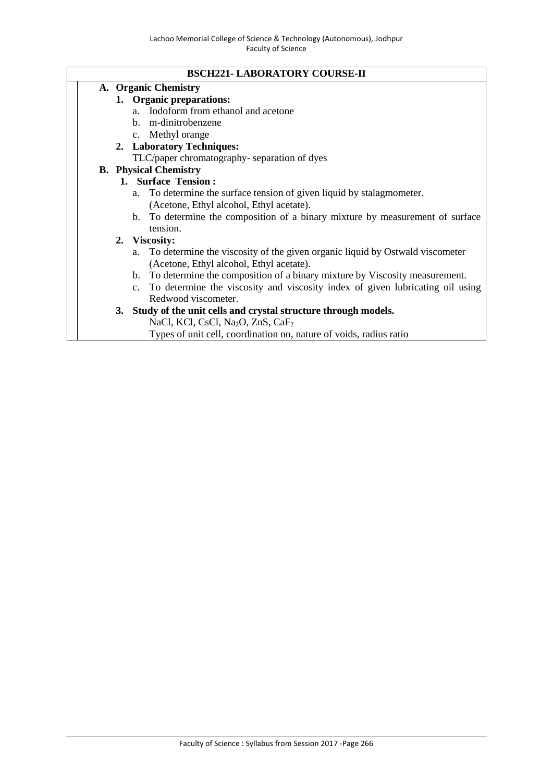### **BSCH221- LABORATORY COURSE-II**

# **A. Organic Chemistry**

- **1. Organic preparations:**
	- a. Iodoform from ethanol and acetone
	- b. m-dinitrobenzene
	- c. Methyl orange
- **2. Laboratory Techniques:**
	- TLC/paper chromatography- separation of dyes

## **B. Physical Chemistry**

## **1. Surface Tension :**

- a. To determine the surface tension of given liquid by stalagmometer. (Acetone, Ethyl alcohol, Ethyl acetate).
- b. To determine the composition of a binary mixture by measurement of surface tension.

### **2. Viscosity:**

- a. To determine the viscosity of the given organic liquid by Ostwald viscometer (Acetone, Ethyl alcohol, Ethyl acetate).
- b. To determine the composition of a binary mixture by Viscosity measurement.
- c. To determine the viscosity and viscosity index of given lubricating oil using Redwood viscometer.
- **3. Study of the unit cells and crystal structure through models.**
	- NaCl, KCl, CsCl, Na<sub>2</sub>O, ZnS, CaF<sub>2</sub>
	- Types of unit cell, coordination no, nature of voids, radius ratio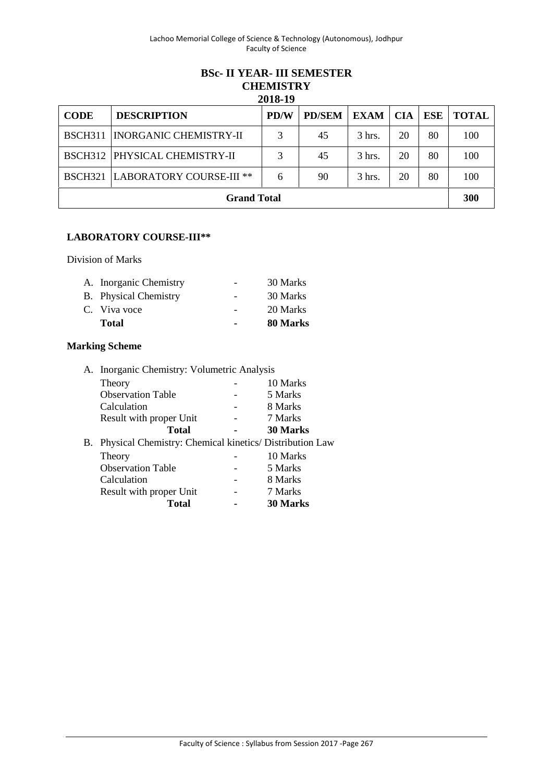#### **BSc- II YEAR- III SEMESTER CHEMISTRY 2018-19**

| <b>CODE</b>    | <b>DESCRIPTION</b>                   | PD/W | <b>PD/SEM</b> | <b>EXAM</b> | <b>CIA</b> | ESE | <b>TOTAL</b> |
|----------------|--------------------------------------|------|---------------|-------------|------------|-----|--------------|
| <b>BSCH311</b> | <b>INORGANIC CHEMISTRY-II</b>        |      | 45            | $3$ hrs.    | 20         | 80  | 100          |
|                | <b>BSCH312 PHYSICAL CHEMISTRY-II</b> | 3    | 45            | 3 hrs.      | 20         | 80  | 100          |
| <b>BSCH321</b> | LABORATORY COURSE-III **             | 6    | 90            | 3 hrs.      | 20         | 80  | 100          |
|                | <b>Grand Total</b>                   |      |               |             |            |     | 300          |

## **LABORATORY COURSE-III\*\***

Division of Marks

| A. Inorganic Chemistry |                | 30 Marks |
|------------------------|----------------|----------|
| B. Physical Chemistry  | $\sim$         | 30 Marks |
| C. Viva voce           |                | 20 Marks |
| <b>Total</b>           | $\blacksquare$ | 80 Marks |

# **Marking Scheme**

| A. Inorganic Chemistry: Volumetric Analysis                |                 |  |
|------------------------------------------------------------|-----------------|--|
| Theory                                                     | 10 Marks        |  |
| <b>Observation Table</b>                                   | 5 Marks         |  |
| Calculation                                                | 8 Marks         |  |
| Result with proper Unit                                    | 7 Marks         |  |
| <b>Total</b>                                               | <b>30 Marks</b> |  |
| B. Physical Chemistry: Chemical kinetics/ Distribution Law |                 |  |
| Theory                                                     | 10 Marks        |  |
| <b>Observation Table</b>                                   | 5 Marks         |  |
| Calculation                                                | 8 Marks         |  |
| Result with proper Unit                                    | 7 Marks         |  |
| <b>Total</b>                                               | <b>30 Marks</b> |  |
|                                                            |                 |  |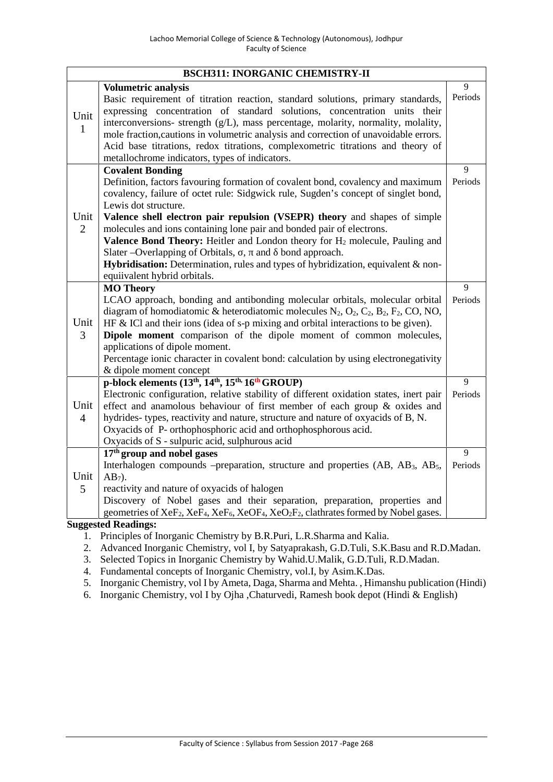|                        | <b>BSCH311: INORGANIC CHEMISTRY-II</b>                                                                                                                                                                                                                                                                                                                                                                                                                                                                                                                                                                                                                          |              |
|------------------------|-----------------------------------------------------------------------------------------------------------------------------------------------------------------------------------------------------------------------------------------------------------------------------------------------------------------------------------------------------------------------------------------------------------------------------------------------------------------------------------------------------------------------------------------------------------------------------------------------------------------------------------------------------------------|--------------|
| Unit<br>1              | Volumetric analysis<br>Basic requirement of titration reaction, standard solutions, primary standards,<br>expressing concentration of standard solutions, concentration units their<br>interconversions- strength (g/L), mass percentage, molarity, normality, molality,<br>mole fraction, cautions in volumetric analysis and correction of unavoidable errors.<br>Acid base titrations, redox titrations, complexometric titrations and theory of<br>metallochrome indicators, types of indicators.                                                                                                                                                           | 9<br>Periods |
| Unit<br>$\overline{2}$ | <b>Covalent Bonding</b><br>Definition, factors favouring formation of covalent bond, covalency and maximum<br>covalency, failure of octet rule: Sidgwick rule, Sugden's concept of singlet bond,<br>Lewis dot structure.<br>Valence shell electron pair repulsion (VSEPR) theory and shapes of simple<br>molecules and ions containing lone pair and bonded pair of electrons.<br><b>Valence Bond Theory:</b> Heitler and London theory for H <sub>2</sub> molecule, Pauling and<br>Slater - Overlapping of Orbitals, , and bond approach.<br>Hybridisation: Determination, rules and types of hybridization, equivalent & non-<br>equiivalent hybrid orbitals. | 9<br>Periods |
| Unit<br>3              | <b>MO Theory</b><br>LCAO approach, bonding and antibonding molecular orbitals, molecular orbital<br>diagram of homodiatomic & heterodiatomic molecules $N_2$ , $O_2$ , $C_2$ , $B_2$ , $F_2$ , $CO$ , NO,<br>HF & ICl and their ions (idea of s-p mixing and orbital interactions to be given).<br><b>Dipole moment</b> comparison of the dipole moment of common molecules,<br>applications of dipole moment.<br>Percentage ionic character in covalent bond: calculation by using electronegativity<br>& dipole moment concept                                                                                                                                | 9<br>Periods |
| Unit<br>$\overline{4}$ | p-block elements (13 <sup>th</sup> , 14 <sup>th</sup> , 15 <sup>th,</sup> 16 <sup>th</sup> GROUP)<br>Electronic configuration, relative stability of different oxidation states, inert pair<br>effect and anamolous behaviour of first member of each group & oxides and<br>hydrides- types, reactivity and nature, structure and nature of oxyacids of B, N.<br>Oxyacids of P- orthophosphoric acid and orthophosphorous acid.<br>Oxyacids of S - sulpuric acid, sulphurous acid                                                                                                                                                                               | 9<br>Periods |
| Unit<br>5              | 17 <sup>th</sup> group and nobel gases<br>Interhalogen compounds -preparation, structure and properties (AB, AB <sub>3</sub> , AB <sub>5</sub> ,<br>$AB_7$ ).<br>reactivity and nature of oxyacids of halogen<br>Discovery of Nobel gases and their separation, preparation, properties and<br>geometries of XeF <sub>2</sub> , XeF <sub>4</sub> , XeF <sub>6</sub> , XeOF <sub>4</sub> , XeO <sub>2</sub> F <sub>2</sub> , clathrates formed by Nobel gases.<br><b>Suggested Readings:</b>                                                                                                                                                                     | 9<br>Periods |

- 1. Principles of Inorganic Chemistry by B.R.Puri, L.R.Sharma and Kalia.
- 2. Advanced Inorganic Chemistry, vol I, by Satyaprakash, G.D.Tuli, S.K.Basu and R.D.Madan.
- 3. Selected Topics in Inorganic Chemistry by Wahid.U.Malik, G.D.Tuli, R.D.Madan.
- 4. Fundamental concepts of Inorganic Chemistry, vol.I, by Asim.K.Das.
- 5. Inorganic Chemistry, vol I by Ameta, Daga, Sharma and Mehta. , Himanshu publication (Hindi)
- 6. Inorganic Chemistry, vol I by Ojha ,Chaturvedi, Ramesh book depot (Hindi & English)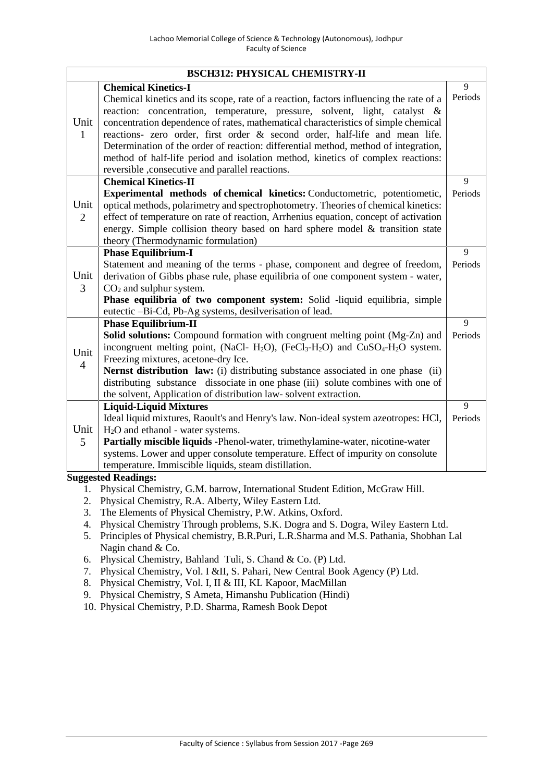|                        | <b>BSCH312: PHYSICAL CHEMISTRY-II</b>                                                                                                                                                                                                                                                                                                                                                                                                                                                                                                                                                                |              |
|------------------------|------------------------------------------------------------------------------------------------------------------------------------------------------------------------------------------------------------------------------------------------------------------------------------------------------------------------------------------------------------------------------------------------------------------------------------------------------------------------------------------------------------------------------------------------------------------------------------------------------|--------------|
| Unit<br>$\mathbf{1}$   | <b>Chemical Kinetics-I</b><br>Chemical kinetics and its scope, rate of a reaction, factors influencing the rate of a<br>reaction: concentration, temperature, pressure, solvent, light, catalyst &<br>concentration dependence of rates, mathematical characteristics of simple chemical<br>reactions- zero order, first order & second order, half-life and mean life.<br>Determination of the order of reaction: differential method, method of integration,<br>method of half-life period and isolation method, kinetics of complex reactions:<br>reversible, consecutive and parallel reactions. | 9<br>Periods |
| Unit<br>$\overline{2}$ | <b>Chemical Kinetics-II</b><br>Experimental methods of chemical kinetics: Conductometric, potentiometic,<br>optical methods, polarimetry and spectrophotometry. Theories of chemical kinetics:<br>effect of temperature on rate of reaction, Arrhenius equation, concept of activation<br>energy. Simple collision theory based on hard sphere model & transition state<br>theory (Thermodynamic formulation)                                                                                                                                                                                        | 9<br>Periods |
| Unit<br>3              | <b>Phase Equilibrium-I</b><br>Statement and meaning of the terms - phase, component and degree of freedom,<br>derivation of Gibbs phase rule, phase equilibria of one component system - water,<br>$CO2$ and sulphur system.<br>Phase equilibria of two component system: Solid -liquid equilibria, simple<br>eutectic -Bi-Cd, Pb-Ag systems, desilverisation of lead.                                                                                                                                                                                                                               | 9<br>Periods |
| Unit<br>$\overline{4}$ | <b>Phase Equilibrium-II</b><br>Solid solutions: Compound formation with congruent melting point (Mg-Zn) and<br>incongruent melting point, (NaCl- H <sub>2</sub> O), (FeCl <sub>3</sub> -H <sub>2</sub> O) and CuSO <sub>4</sub> -H <sub>2</sub> O system.<br>Freezing mixtures, acetone-dry Ice.<br>Nernst distribution law: (i) distributing substance associated in one phase (ii)<br>distributing substance dissociate in one phase (iii) solute combines with one of<br>the solvent, Application of distribution law-solvent extraction.                                                         | 9<br>Periods |
| Unit<br>5              | <b>Liquid-Liquid Mixtures</b><br>Ideal liquid mixtures, Raoult's and Henry's law. Non-ideal system azeotropes: HCl,<br>H <sub>2</sub> O and ethanol - water systems.<br>Partially miscible liquids -Phenol-water, trimethylamine-water, nicotine-water<br>systems. Lower and upper consolute temperature. Effect of impurity on consolute<br>temperature. Immiscible liquids, steam distillation.<br>Cugaceted Deadings,                                                                                                                                                                             | 9<br>Periods |

- 1. Physical Chemistry, G.M. barrow, International Student Edition, McGraw Hill.
- 2. Physical Chemistry, R.A. Alberty, Wiley Eastern Ltd.
- 3. The Elements of Physical Chemistry, P.W. Atkins, Oxford.
- 4. Physical Chemistry Through problems, S.K. Dogra and S. Dogra, Wiley Eastern Ltd.
- 5. Principles of Physical chemistry, B.R.Puri, L.R.Sharma and M.S. Pathania, Shobhan Lal Nagin chand & Co.
- 6. Physical Chemistry, Bahland Tuli, S. Chand & Co. (P) Ltd.
- 7. Physical Chemistry, Vol. I &II, S. Pahari, New Central Book Agency (P) Ltd.
- 8. Physical Chemistry, Vol. I, II & III, KL Kapoor, MacMillan
- 9. Physical Chemistry, S Ameta, Himanshu Publication (Hindi)
- 10. Physical Chemistry, P.D. Sharma, Ramesh Book Depot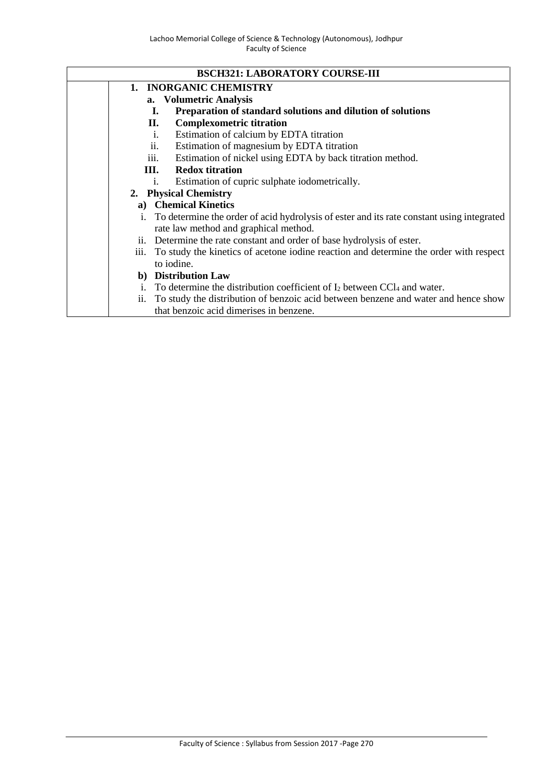#### **BSCH321: LABORATORY COURSE-III**

- **1. INORGANIC CHEMISTRY**
	- **a. Volumetric Analysis**
		- **I. Preparation of standard solutions and dilution of solutions**
	- **II. Complexometric titration**
	- i. Estimation of calcium by EDTA titration
	- ii. Estimation of magnesium by EDTA titration
	- iii. Estimation of nickel using EDTA by back titration method.
	- **III. Redox titration**
		- i. Estimation of cupric sulphate iodometrically.

## **2. Physical Chemistry**

- **a) Chemical Kinetics**
- i. To determine the order of acid hydrolysis of ester and its rate constant using integrated rate law method and graphical method.
- ii. Determine the rate constant and order of base hydrolysis of ester.
- iii. To study the kinetics of acetone iodine reaction and determine the order with respect to iodine.
- **b) Distribution Law**
- i. To determine the distribution coefficient of  $I_2$  between CCl<sub>4</sub> and water.
- ii. To study the distribution of benzoic acid between benzene and water and hence show that benzoic acid dimerises in benzene.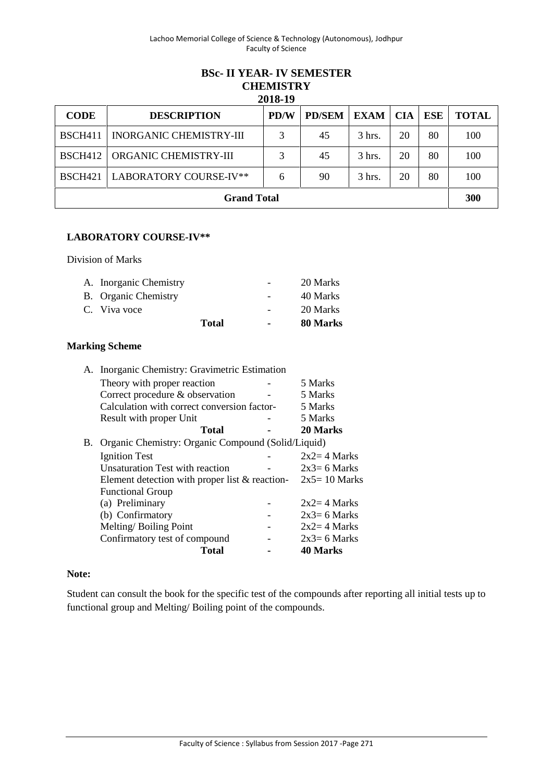### **BSc- II YEAR- IV SEMESTER CHEMISTRY 2018-19**

| <b>CODE</b>         | <b>DESCRIPTION</b>        | <b>PD/W</b> | <b>PD/SEM</b> | <b>EXAM</b>      | <b>CIA</b> | <b>ESE</b> | <b>TOTAL</b> |  |  |
|---------------------|---------------------------|-------------|---------------|------------------|------------|------------|--------------|--|--|
| <b>BSCH411</b>      | INORGANIC CHEMISTRY-III   |             | 45            | $3 \text{ hrs.}$ | 20         | 80         | 100          |  |  |
| <b>BSCH412</b>      | ORGANIC CHEMISTRY-III     |             | 45            | $3 \text{ hrs.}$ | 20         | 80         | 100          |  |  |
| BSCH <sub>421</sub> | LABORATORY COURSE-IV**    | 6           | 90            | 3 hrs.           | 20         | 80         | 100          |  |  |
|                     | 300<br><b>Grand Total</b> |             |               |                  |            |            |              |  |  |

## **LABORATORY COURSE-IV\*\***

Division of Marks

| A. Inorganic Chemistry |       | $\qquad \qquad -$ | 20 Marks |
|------------------------|-------|-------------------|----------|
| B. Organic Chemistry   |       | $\qquad \qquad -$ | 40 Marks |
| C. Viva voce           |       | $\sim$            | 20 Marks |
|                        | Total | $\blacksquare$    | 80 Marks |

## **Marking Scheme**

|    | A. Inorganic Chemistry: Gravimetric Estimation     |                |
|----|----------------------------------------------------|----------------|
|    | Theory with proper reaction                        | 5 Marks        |
|    | Correct procedure & observation                    | 5 Marks        |
|    | Calculation with correct conversion factor-        | 5 Marks        |
|    | Result with proper Unit                            | 5 Marks        |
|    | Total                                              | 20 Marks       |
| В. | Organic Chemistry: Organic Compound (Solid/Liquid) |                |
|    | <b>Ignition Test</b>                               | $2x2=4$ Marks  |
|    | Unsaturation Test with reaction                    | $2x3=6$ Marks  |
|    | Element detection with proper list $\&$ reaction-  | $2x5=10$ Marks |
|    | <b>Functional Group</b>                            |                |
|    | (a) Preliminary                                    | $2x2=4$ Marks  |
|    | (b) Confirmatory                                   | $2x3=6$ Marks  |
|    | Melting/Boiling Point                              | $2x2=4$ Marks  |
|    | Confirmatory test of compound                      | $2x3=6$ Marks  |
|    | Total                                              | 40 Marks       |

## **Note:**

Student can consult the book for the specific test of the compounds after reporting all initial tests up to functional group and Melting/ Boiling point of the compounds.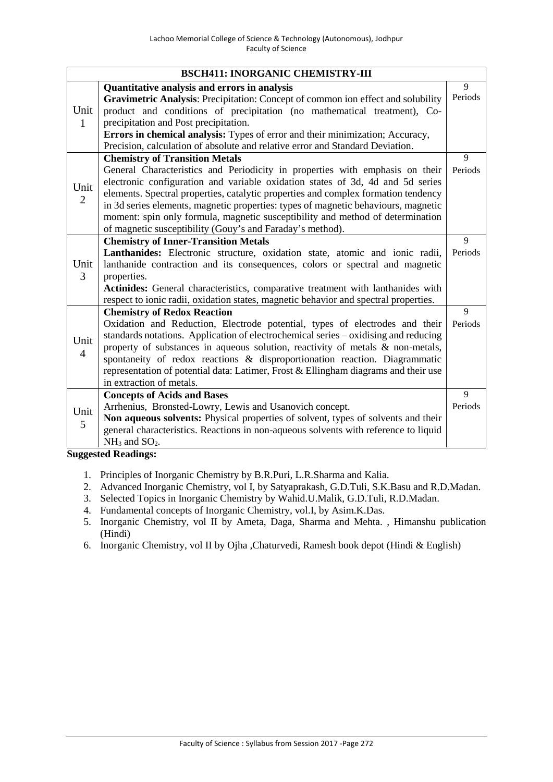|                        | <b>BSCH411: INORGANIC CHEMISTRY-III</b>                                                                                                                                                                                                                                                                                                                                                                                                                                                   |         |
|------------------------|-------------------------------------------------------------------------------------------------------------------------------------------------------------------------------------------------------------------------------------------------------------------------------------------------------------------------------------------------------------------------------------------------------------------------------------------------------------------------------------------|---------|
|                        | Quantitative analysis and errors in analysis                                                                                                                                                                                                                                                                                                                                                                                                                                              | 9       |
| Unit<br>1              | Gravimetric Analysis: Precipitation: Concept of common ion effect and solubility<br>product and conditions of precipitation (no mathematical treatment), Co-<br>precipitation and Post precipitation.<br>Errors in chemical analysis: Types of error and their minimization; Accuracy,<br>Precision, calculation of absolute and relative error and Standard Deviation.                                                                                                                   | Periods |
|                        | <b>Chemistry of Transition Metals</b>                                                                                                                                                                                                                                                                                                                                                                                                                                                     | 9       |
| Unit<br>$\overline{2}$ | General Characteristics and Periodicity in properties with emphasis on their<br>electronic configuration and variable oxidation states of 3d, 4d and 5d series<br>elements. Spectral properties, catalytic properties and complex formation tendency<br>in 3d series elements, magnetic properties: types of magnetic behaviours, magnetic<br>moment: spin only formula, magnetic susceptibility and method of determination<br>of magnetic susceptibility (Gouy's and Faraday's method). | Periods |
|                        | <b>Chemistry of Inner-Transition Metals</b>                                                                                                                                                                                                                                                                                                                                                                                                                                               | 9       |
| Unit<br>3              | Lanthanides: Electronic structure, oxidation state, atomic and ionic radii,<br>lanthanide contraction and its consequences, colors or spectral and magnetic<br>properties.<br>Actinides: General characteristics, comparative treatment with lanthanides with<br>respect to ionic radii, oxidation states, magnetic behavior and spectral properties.                                                                                                                                     | Periods |
|                        | <b>Chemistry of Redox Reaction</b>                                                                                                                                                                                                                                                                                                                                                                                                                                                        | 9       |
| Unit<br>$\overline{4}$ | Oxidation and Reduction, Electrode potential, types of electrodes and their<br>standards notations. Application of electrochemical series – oxidising and reducing<br>property of substances in aqueous solution, reactivity of metals $\&$ non-metals,<br>spontaneity of redox reactions & disproportionation reaction. Diagrammatic<br>representation of potential data: Latimer, Frost & Ellingham diagrams and their use<br>in extraction of metals.                                  | Periods |
|                        | <b>Concepts of Acids and Bases</b>                                                                                                                                                                                                                                                                                                                                                                                                                                                        | 9       |
| Unit<br>5              | Arrhenius, Bronsted-Lowry, Lewis and Usanovich concept.<br>Non aqueous solvents: Physical properties of solvent, types of solvents and their<br>general characteristics. Reactions in non-aqueous solvents with reference to liquid<br>$NH3$ and $SO2$ .                                                                                                                                                                                                                                  | Periods |

- 1. Principles of Inorganic Chemistry by B.R.Puri, L.R.Sharma and Kalia.
- 2. Advanced Inorganic Chemistry, vol I, by Satyaprakash, G.D.Tuli, S.K.Basu and R.D.Madan.
- 3. Selected Topics in Inorganic Chemistry by Wahid.U.Malik, G.D.Tuli, R.D.Madan.
- 4. Fundamental concepts of Inorganic Chemistry, vol.I, by Asim.K.Das.
- 5. Inorganic Chemistry, vol II by Ameta, Daga, Sharma and Mehta. , Himanshu publication (Hindi)
- 6. Inorganic Chemistry, vol II by Ojha ,Chaturvedi, Ramesh book depot (Hindi & English)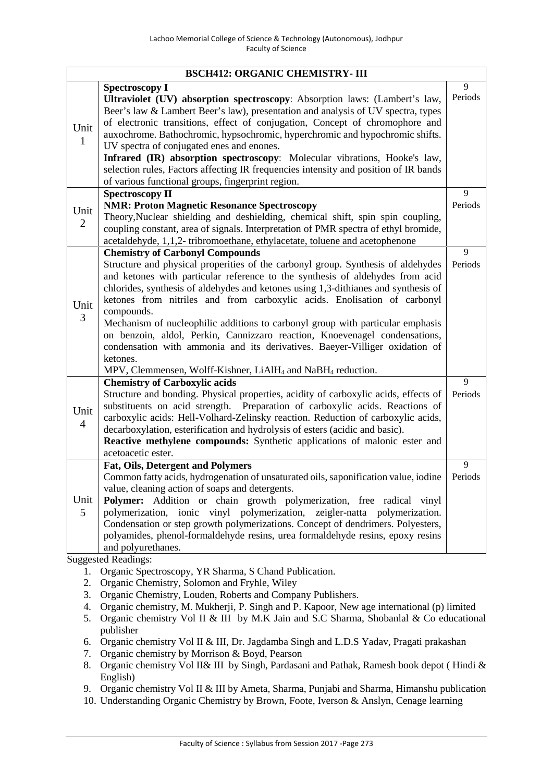|                        | <b>BSCH412: ORGANIC CHEMISTRY- III</b>                                                                                                                                                                                                                                                                                                                                                                                                                                                                                                                                                                                                                                                                                                        |              |
|------------------------|-----------------------------------------------------------------------------------------------------------------------------------------------------------------------------------------------------------------------------------------------------------------------------------------------------------------------------------------------------------------------------------------------------------------------------------------------------------------------------------------------------------------------------------------------------------------------------------------------------------------------------------------------------------------------------------------------------------------------------------------------|--------------|
| Unit<br>$\mathbf{1}$   | <b>Spectroscopy I</b><br>Ultraviolet (UV) absorption spectroscopy: Absorption laws: (Lambert's law,<br>Beer's law & Lambert Beer's law), presentation and analysis of UV spectra, types<br>of electronic transitions, effect of conjugation, Concept of chromophore and<br>auxochrome. Bathochromic, hypsochromic, hyperchromic and hypochromic shifts.<br>UV spectra of conjugated enes and enones.<br>Infrared (IR) absorption spectroscopy: Molecular vibrations, Hooke's law,<br>selection rules, Factors affecting IR frequencies intensity and position of IR bands<br>of various functional groups, fingerprint region.                                                                                                                | 9<br>Periods |
| Unit<br>$\overline{2}$ | <b>Spectroscopy II</b><br><b>NMR: Proton Magnetic Resonance Spectroscopy</b><br>Theory, Nuclear shielding and deshielding, chemical shift, spin spin coupling,<br>coupling constant, area of signals. Interpretation of PMR spectra of ethyl bromide,<br>acetaldehyde, 1,1,2-tribromoethane, ethylacetate, toluene and acetophenone                                                                                                                                                                                                                                                                                                                                                                                                           | 9<br>Periods |
| Unit<br>$\mathfrak{Z}$ | <b>Chemistry of Carbonyl Compounds</b><br>Structure and physical properities of the carbonyl group. Synthesis of aldehydes<br>and ketones with particular reference to the synthesis of aldehydes from acid<br>chlorides, synthesis of aldehydes and ketones using 1,3-dithianes and synthesis of<br>ketones from nitriles and from carboxylic acids. Enolisation of carbonyl<br>compounds.<br>Mechanism of nucleophilic additions to carbonyl group with particular emphasis<br>on benzoin, aldol, Perkin, Cannizzaro reaction, Knoevenagel condensations,<br>condensation with ammonia and its derivatives. Baeyer-Villiger oxidation of<br>ketones.<br>MPV, Clemmensen, Wolff-Kishner, LiAlH <sub>4</sub> and NaBH <sub>4</sub> reduction. | 9<br>Periods |
| Unit<br>$\overline{4}$ | <b>Chemistry of Carboxylic acids</b><br>Structure and bonding. Physical properties, acidity of carboxylic acids, effects of<br>substituents on acid strength. Preparation of carboxylic acids. Reactions of<br>carboxylic acids: Hell-Volhard-Zelinsky reaction. Reduction of carboxylic acids,<br>decarboxylation, esterification and hydrolysis of esters (acidic and basic).<br>Reactive methylene compounds: Synthetic applications of malonic ester and<br>acetoacetic ester.                                                                                                                                                                                                                                                            | 9<br>Periods |
| Unit<br>5              | Fat, Oils, Detergent and Polymers<br>Common fatty acids, hydrogenation of unsaturated oils, saponification value, iodine<br>value, cleaning action of soaps and detergents.<br>Polymer: Addition or chain growth polymerization, free radical vinyl<br>polymerization, ionic vinyl polymerization, zeigler-natta polymerization.<br>Condensation or step growth polymerizations. Concept of dendrimers. Polyesters,<br>polyamides, phenol-formaldehyde resins, urea formaldehyde resins, epoxy resins<br>and polyurethanes.                                                                                                                                                                                                                   | 9<br>Periods |

- 1. Organic Spectroscopy, YR Sharma, S Chand Publication.
- 2. Organic Chemistry, Solomon and Fryhle, Wiley
- 3. Organic Chemistry, Louden, Roberts and Company Publishers.
- 4. Organic chemistry, M. Mukherji, P. Singh and P. Kapoor, New age international (p) limited
- 5. Organic chemistry Vol II & III by M.K Jain and S.C Sharma, Shobanlal & Co educational publisher
- 6. Organic chemistry Vol II & III, Dr. Jagdamba Singh and L.D.S Yadav, Pragati prakashan
- 7. Organic chemistry by Morrison & Boyd, Pearson
- 8. Organic chemistry Vol II& III by Singh, Pardasani and Pathak, Ramesh book depot ( Hindi & English)
- 9. Organic chemistry Vol II & III by Ameta, Sharma, Punjabi and Sharma, Himanshu publication
- 10. Understanding Organic Chemistry by Brown, Foote, Iverson & Anslyn, Cenage learning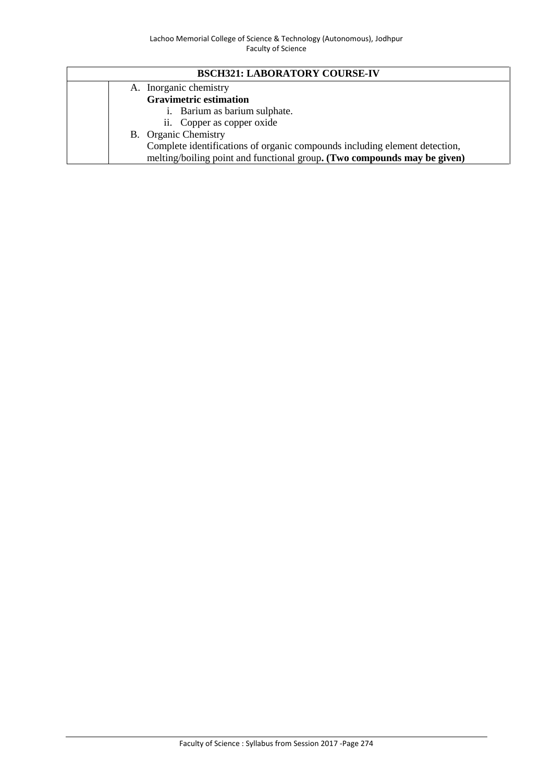# **BSCH321: LABORATORY COURSE-IV**

|  | A. Inorganic chemistry                                                     |
|--|----------------------------------------------------------------------------|
|  | <b>Gravimetric estimation</b>                                              |
|  | i. Barium as barium sulphate.                                              |
|  | ii. Copper as copper oxide                                                 |
|  | B. Organic Chemistry                                                       |
|  | Complete identifications of organic compounds including element detection, |
|  | melting/boiling point and functional group. (Two compounds may be given)   |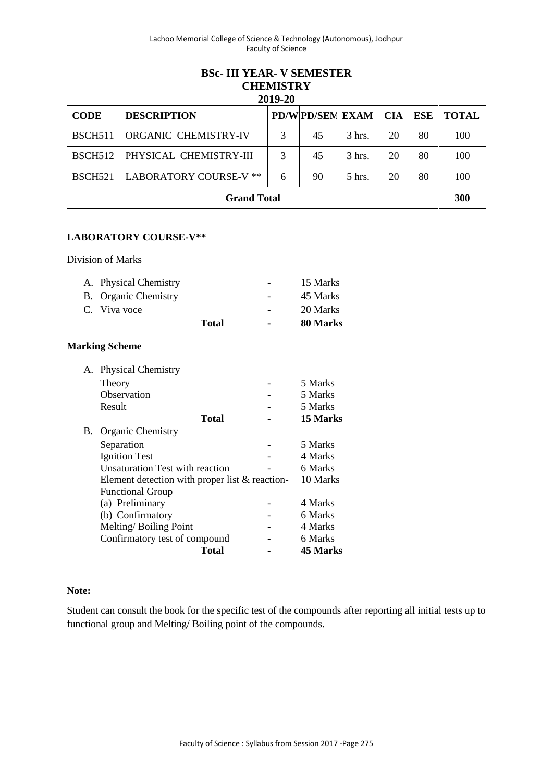# **BSc- III YEAR- V SEMESTER CHEMISTRY 2019-20**

| <b>CODE</b>    | <b>DESCRIPTION</b>          |   |    | <b>PD/W PD/SEM EXAM   CIA</b> |    | ESE | <b>TOTAL</b> |
|----------------|-----------------------------|---|----|-------------------------------|----|-----|--------------|
| <b>BSCH511</b> | <b>ORGANIC CHEMISTRY-IV</b> |   | 45 | $3$ hrs.                      | 20 | 80  | 100          |
| <b>BSCH512</b> | PHYSICAL CHEMISTRY-III      |   | 45 | $3$ hrs.                      | 20 | 80  | 100          |
| <b>BSCH521</b> | LABORATORY COURSE-V **      | 6 | 90 | $5$ hrs.                      | 20 | 80  | 100          |
|                | <b>Grand Total</b>          |   |    |                               |    |     | 300          |

## **LABORATORY COURSE-V\*\***

Division of Marks

| A. Physical Chemistry |       | $\overline{\phantom{a}}$ | 15 Marks |
|-----------------------|-------|--------------------------|----------|
| B. Organic Chemistry  |       | $\overline{\phantom{a}}$ | 45 Marks |
| C. Viva voce          |       | $\overline{\phantom{0}}$ | 20 Marks |
|                       | Total | $\blacksquare$           | 80 Marks |

## **Marking Scheme**

| А. | <b>Physical Chemistry</b>                        |       |          |
|----|--------------------------------------------------|-------|----------|
|    | Theory                                           |       | 5 Marks  |
|    | Observation                                      |       | 5 Marks  |
|    | Result                                           |       | 5 Marks  |
|    |                                                  | Total | 15 Marks |
| В. | <b>Organic Chemistry</b>                         |       |          |
|    | Separation                                       |       | 5 Marks  |
|    | <b>Ignition Test</b>                             |       | 4 Marks  |
|    | Unsaturation Test with reaction                  |       | 6 Marks  |
|    | Element detection with proper list $&$ reaction- |       | 10 Marks |
|    | <b>Functional Group</b>                          |       |          |
|    | (a) Preliminary                                  |       | 4 Marks  |
|    | (b) Confirmatory                                 |       | 6 Marks  |
|    | Melting/Boiling Point                            |       | 4 Marks  |
|    | Confirmatory test of compound                    |       | 6 Marks  |
|    |                                                  | Total | 45 Marks |

### **Note:**

Student can consult the book for the specific test of the compounds after reporting all initial tests up to functional group and Melting/ Boiling point of the compounds.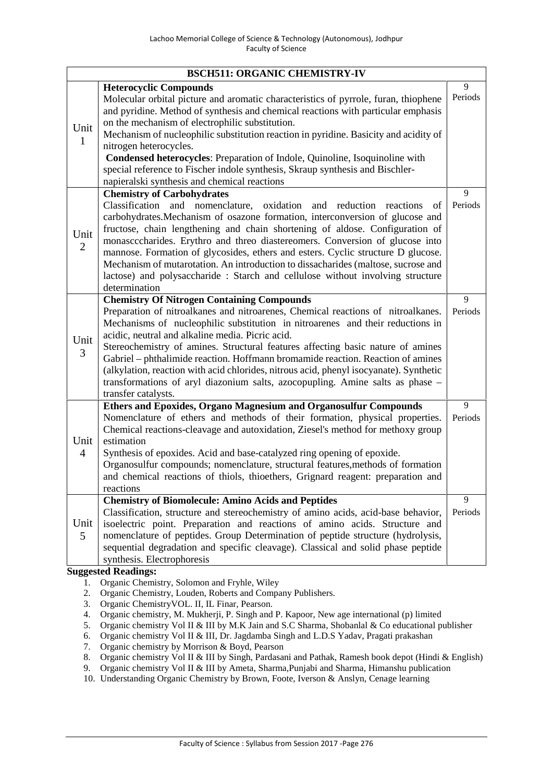|                        | <b>BSCH511: ORGANIC CHEMISTRY-IV</b>                                                                                                                                                                                                                                                                                                                                                                                                                                                                                                                                                                                                                |              |
|------------------------|-----------------------------------------------------------------------------------------------------------------------------------------------------------------------------------------------------------------------------------------------------------------------------------------------------------------------------------------------------------------------------------------------------------------------------------------------------------------------------------------------------------------------------------------------------------------------------------------------------------------------------------------------------|--------------|
| Unit<br>$\mathbf{1}$   | <b>Heterocyclic Compounds</b><br>Molecular orbital picture and aromatic characteristics of pyrrole, furan, thiophene<br>and pyridine. Method of synthesis and chemical reactions with particular emphasis<br>on the mechanism of electrophilic substitution.<br>Mechanism of nucleophilic substitution reaction in pyridine. Basicity and acidity of<br>nitrogen heterocycles.<br>Condensed heterocycles: Preparation of Indole, Quinoline, Isoquinoline with<br>special reference to Fischer indole synthesis, Skraup synthesis and Bischler-<br>napieralski synthesis and chemical reactions                                                      | 9<br>Periods |
| Unit<br>$\overline{2}$ | <b>Chemistry of Carbohydrates</b><br>Classification and nomenclature, oxidation<br>and reduction<br>reactions<br>of<br>carbohydrates. Mechanism of osazone formation, interconversion of glucose and<br>fructose, chain lengthening and chain shortening of aldose. Configuration of<br>monascccharides. Erythro and threo diastereomers. Conversion of glucose into<br>mannose. Formation of glycosides, ethers and esters. Cyclic structure D glucose.<br>Mechanism of mutarotation. An introduction to dissacharides (maltose, sucrose and<br>lactose) and polysaccharide : Starch and cellulose without involving structure<br>determination    | 9<br>Periods |
| Unit<br>3              | <b>Chemistry Of Nitrogen Containing Compounds</b><br>Preparation of nitroalkanes and nitroarenes, Chemical reactions of nitroalkanes.<br>Mechanisms of nucleophilic substitution in nitroarenes and their reductions in<br>acidic, neutral and alkaline media. Picric acid.<br>Stereochemistry of amines. Structural features affecting basic nature of amines<br>Gabriel – phthalimide reaction. Hoffmann bromamide reaction. Reaction of amines<br>(alkylation, reaction with acid chlorides, nitrous acid, phenyl isocyanate). Synthetic<br>transformations of aryl diazonium salts, azocopupling. Amine salts as phase -<br>transfer catalysts. | 9<br>Periods |
| Unit<br>$\overline{4}$ | Ethers and Epoxides, Organo Magnesium and Organosulfur Compounds<br>Nomenclature of ethers and methods of their formation, physical properties.<br>Chemical reactions-cleavage and autoxidation, Ziesel's method for methoxy group<br>estimation<br>Synthesis of epoxides. Acid and base-catalyzed ring opening of epoxide.<br>Organosulfur compounds; nomenclature, structural features, methods of formation<br>and chemical reactions of thiols, thioethers, Grignard reagent: preparation and<br>reactions                                                                                                                                      | 9<br>Periods |
| Unit<br>5              | <b>Chemistry of Biomolecule: Amino Acids and Peptides</b><br>Classification, structure and stereochemistry of amino acids, acid-base behavior,<br>isoelectric point. Preparation and reactions of amino acids. Structure and<br>nomenclature of peptides. Group Determination of peptide structure (hydrolysis,<br>sequential degradation and specific cleavage). Classical and solid phase peptide<br>synthesis. Electrophoresis<br>Suggested Readings.                                                                                                                                                                                            | 9<br>Periods |

1. Organic Chemistry, Solomon and Fryhle, Wiley

- 2. Organic Chemistry, Louden, Roberts and Company Publishers.
- 3. Organic ChemistryVOL. II, IL Finar, Pearson.
- 4. Organic chemistry, M. Mukherji, P. Singh and P. Kapoor, New age international (p) limited
- 5. Organic chemistry Vol II & III by M.K Jain and S.C Sharma, Shobanlal & Co educational publisher
- 6. Organic chemistry Vol II & III, Dr. Jagdamba Singh and L.D.S Yadav, Pragati prakashan
- 7. Organic chemistry by Morrison & Boyd, Pearson
- 8. Organic chemistry Vol II & III by Singh, Pardasani and Pathak, Ramesh book depot (Hindi & English)
- 9. Organic chemistry Vol II & III by Ameta, Sharma,Punjabi and Sharma, Himanshu publication
- 10. Understanding Organic Chemistry by Brown, Foote, Iverson & Anslyn, Cenage learning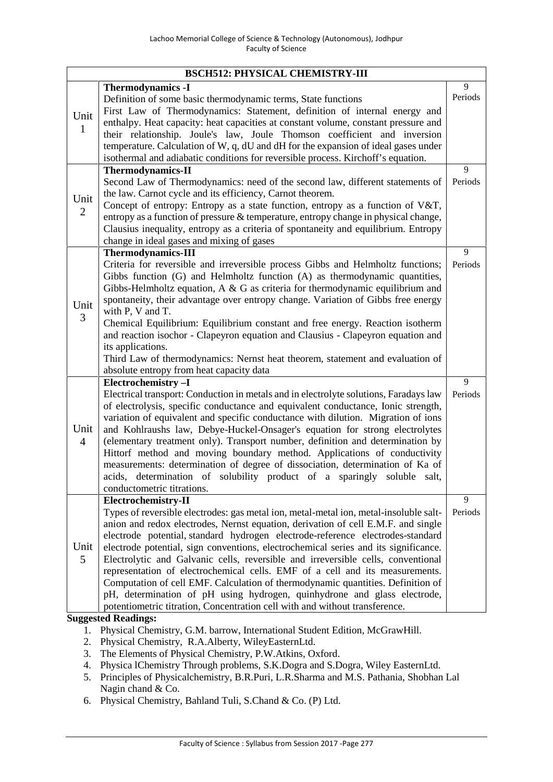|                        | <b>BSCH512: PHYSICAL CHEMISTRY-III</b>                                                                                                                                                                                                                                                                                                                                                                                                                                                                                                                                                                                                                                                                                                                                                       |              |
|------------------------|----------------------------------------------------------------------------------------------------------------------------------------------------------------------------------------------------------------------------------------------------------------------------------------------------------------------------------------------------------------------------------------------------------------------------------------------------------------------------------------------------------------------------------------------------------------------------------------------------------------------------------------------------------------------------------------------------------------------------------------------------------------------------------------------|--------------|
| Unit<br>1              | <b>Thermodynamics -I</b><br>Definition of some basic thermodynamic terms, State functions<br>First Law of Thermodynamics: Statement, definition of internal energy and<br>enthalpy. Heat capacity: heat capacities at constant volume, constant pressure and<br>their relationship. Joule's law, Joule Thomson coefficient and inversion<br>temperature. Calculation of W, q, dU and dH for the expansion of ideal gases under<br>isothermal and adiabatic conditions for reversible process. Kirchoff's equation.                                                                                                                                                                                                                                                                           | 9<br>Periods |
| Unit<br>$\overline{2}$ | <b>Thermodynamics-II</b><br>Second Law of Thermodynamics: need of the second law, different statements of<br>the law. Carnot cycle and its efficiency, Carnot theorem.<br>Concept of entropy: Entropy as a state function, entropy as a function of V&T,<br>entropy as a function of pressure & temperature, entropy change in physical change,<br>Clausius inequality, entropy as a criteria of spontaneity and equilibrium. Entropy<br>change in ideal gases and mixing of gases                                                                                                                                                                                                                                                                                                           | 9<br>Periods |
| Unit<br>3              | <b>Thermodynamics-III</b><br>Criteria for reversible and irreversible process Gibbs and Helmholtz functions;<br>Gibbs function (G) and Helmholtz function (A) as thermodynamic quantities,<br>Gibbs-Helmholtz equation, $A \& G$ as criteria for thermodynamic equilibrium and<br>spontaneity, their advantage over entropy change. Variation of Gibbs free energy<br>with P, V and T.<br>Chemical Equilibrium: Equilibrium constant and free energy. Reaction isotherm<br>and reaction isochor - Clapeyron equation and Clausius - Clapeyron equation and<br>its applications.<br>Third Law of thermodynamics: Nernst heat theorem, statement and evaluation of<br>absolute entropy from heat capacity data                                                                                 | 9<br>Periods |
| Unit<br>$\overline{4}$ | Electrochemistry-I<br>Electrical transport: Conduction in metals and in electrolyte solutions, Faradays law<br>of electrolysis, specific conductance and equivalent conductance, Ionic strength,<br>variation of equivalent and specific conductance with dilution. Migration of ions<br>and Kohlraushs law, Debye-Huckel-Onsager's equation for strong electrolytes<br>(elementary treatment only). Transport number, definition and determination by<br>Hittorf method and moving boundary method. Applications of conductivity<br>measurements: determination of degree of dissociation, determination of Ka of<br>acids, determination of solubility product of a sparingly soluble salt,<br>conductometric titrations.                                                                  | 9<br>Periods |
| Unit<br>5              | Electrochemistry-II<br>Types of reversible electrodes: gas metal ion, metal-metal ion, metal-insoluble salt-<br>anion and redox electrodes, Nernst equation, derivation of cell E.M.F. and single<br>electrode potential, standard hydrogen electrode-reference electrodes-standard<br>electrode potential, sign conventions, electrochemical series and its significance.<br>Electrolytic and Galvanic cells, reversible and irreversible cells, conventional<br>representation of electrochemical cells. EMF of a cell and its measurements.<br>Computation of cell EMF. Calculation of thermodynamic quantities. Definition of<br>pH, determination of pH using hydrogen, quinhydrone and glass electrode,<br>potentiometric titration, Concentration cell with and without transference. | 9<br>Periods |

- 1. Physical Chemistry, G.M. barrow, International Student Edition, McGrawHill.
- 2. Physical Chemistry, R.A.Alberty, WileyEasternLtd.
- 3. The Elements of Physical Chemistry, P.W.Atkins, Oxford.
- 4. Physica lChemistry Through problems, S.K.Dogra and S.Dogra, Wiley EasternLtd.
- 5. Principles of Physicalchemistry, B.R.Puri, L.R.Sharma and M.S. Pathania, Shobhan Lal Nagin chand & Co.
- 6. Physical Chemistry, Bahland Tuli, S.Chand & Co. (P) Ltd.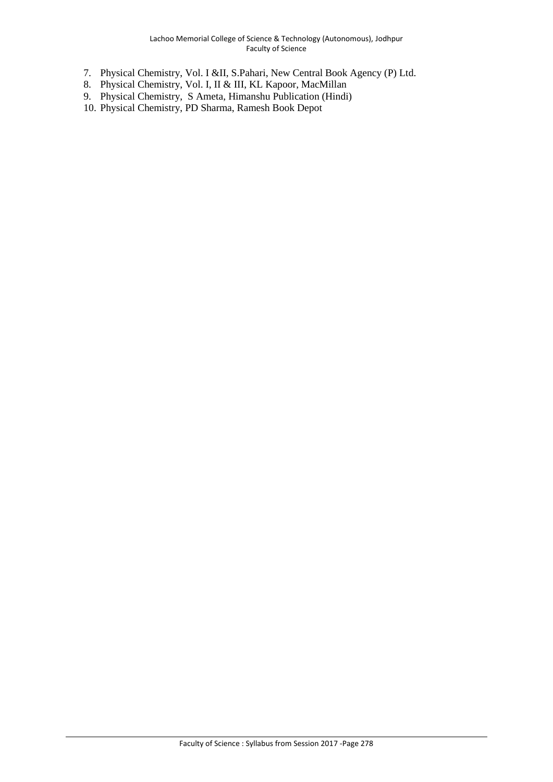- 7. Physical Chemistry, Vol. I &II, S.Pahari, New Central Book Agency (P) Ltd.
- 8. Physical Chemistry, Vol. I, II & III, KL Kapoor, MacMillan
- 9. Physical Chemistry, S Ameta, Himanshu Publication (Hindi)
- 10. Physical Chemistry, PD Sharma, Ramesh Book Depot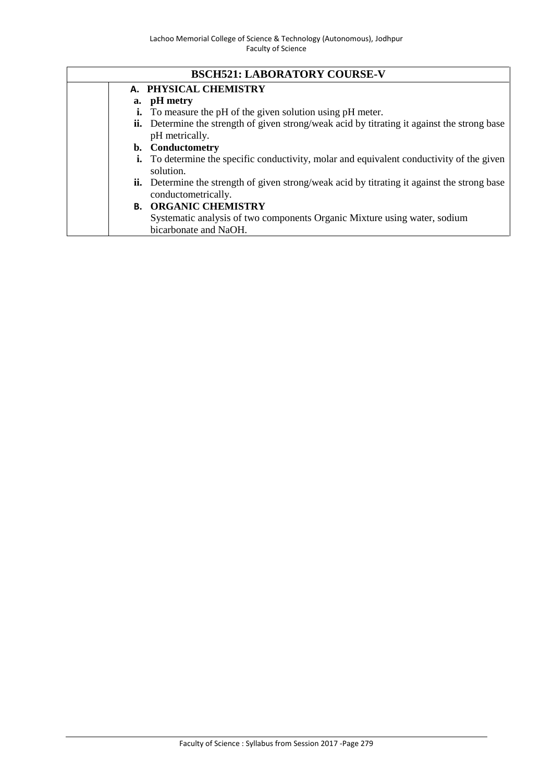|  | <b>BSCH521: LABORATORY COURSE-V</b>                                                                                        |
|--|----------------------------------------------------------------------------------------------------------------------------|
|  | A. PHYSICAL CHEMISTRY                                                                                                      |
|  | a. pH metry                                                                                                                |
|  | i. To measure the pH of the given solution using pH meter.                                                                 |
|  | <b>ii.</b> Determine the strength of given strong/weak acid by titrating it against the strong base<br>pH metrically.      |
|  | b. Conductometry                                                                                                           |
|  | <b>i.</b> To determine the specific conductivity, molar and equivalent conductivity of the given<br>solution.              |
|  | <b>ii.</b> Determine the strength of given strong/weak acid by titrating it against the strong base<br>conductometrically. |
|  | <b>B. ORGANIC CHEMISTRY</b>                                                                                                |
|  | Systematic analysis of two components Organic Mixture using water, sodium                                                  |
|  | bicarbonate and NaOH.                                                                                                      |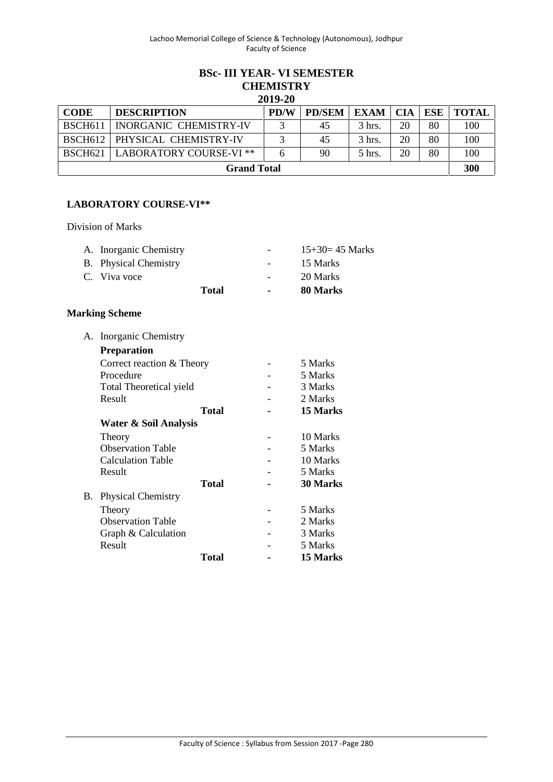#### **BSc- III YEAR- VI SEMESTER CHEMISTRY 2019-20**

| 2019-20            |                         |             |               |             |            |     |              |  |
|--------------------|-------------------------|-------------|---------------|-------------|------------|-----|--------------|--|
| <b>CODE</b>        | <b>DESCRIPTION</b>      | <b>PD/W</b> | <b>PD/SEM</b> | <b>EXAM</b> | <b>CIA</b> | ESE | <b>TOTAL</b> |  |
| <b>BSCH611</b>     | INORGANIC CHEMISTRY-IV  |             | 45            | 3 hrs.      | 20         | 80  | 100          |  |
| <b>BSCH612</b>     | PHYSICAL CHEMISTRY-IV   |             | 45            | 3 hrs.      | 20         | 80  | 100          |  |
| <b>BSCH621</b> 1   | LABORATORY COURSE-VI ** |             | 90            | 5 hrs.      | 20         | 80  | 100          |  |
| <b>Grand Total</b> |                         |             |               |             |            |     | 300          |  |

### **LABORATORY COURSE-VI\*\***

Division of Marks

| A. Inorganic Chemistry |              |        | $15+30=45$ Marks |
|------------------------|--------------|--------|------------------|
| B. Physical Chemistry  |              |        | 15 Marks         |
| C. Viva voce           |              |        | 20 Marks         |
|                        | <b>Total</b> | $\sim$ | 80 Marks         |

### **Marking Scheme**

| А. | Inorganic Chemistry            |              |          |
|----|--------------------------------|--------------|----------|
|    | <b>Preparation</b>             |              |          |
|    | Correct reaction & Theory      |              | 5 Marks  |
|    | Procedure                      |              | 5 Marks  |
|    | <b>Total Theoretical yield</b> |              | 3 Marks  |
|    | Result                         |              | 2 Marks  |
|    |                                | <b>Total</b> | 15 Marks |
|    | Water & Soil Analysis          |              |          |
|    | Theory                         |              | 10 Marks |
|    | <b>Observation Table</b>       |              | 5 Marks  |
|    | <b>Calculation Table</b>       |              | 10 Marks |
|    | Result                         |              | 5 Marks  |
|    |                                | Total        | 30 Marks |
| В. | <b>Physical Chemistry</b>      |              |          |
|    | Theory                         |              | 5 Marks  |
|    | <b>Observation Table</b>       |              | 2 Marks  |
|    | Graph & Calculation            |              | 3 Marks  |
|    | Result                         |              | 5 Marks  |
|    |                                | Total        | 15 Marks |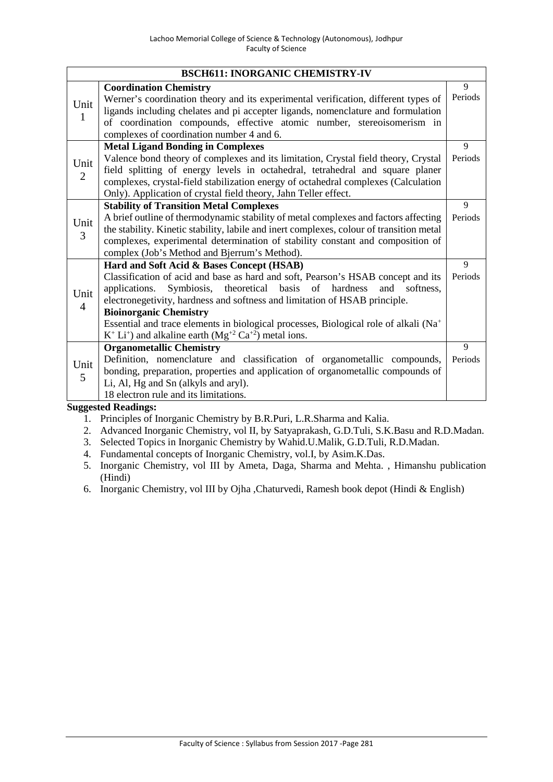|                        | <b>BSCH611: INORGANIC CHEMISTRY-IV</b>                                                                                                                                                                                                                                                                                                                                                                                                                                              |         |
|------------------------|-------------------------------------------------------------------------------------------------------------------------------------------------------------------------------------------------------------------------------------------------------------------------------------------------------------------------------------------------------------------------------------------------------------------------------------------------------------------------------------|---------|
|                        | <b>Coordination Chemistry</b>                                                                                                                                                                                                                                                                                                                                                                                                                                                       | 9       |
| Unit<br>1              | Werner's coordination theory and its experimental verification, different types of<br>ligands including chelates and pi accepter ligands, nomenclature and formulation<br>of coordination compounds, effective atomic number, stereoisomerism in<br>complexes of coordination number 4 and 6.                                                                                                                                                                                       | Periods |
|                        | <b>Metal Ligand Bonding in Complexes</b>                                                                                                                                                                                                                                                                                                                                                                                                                                            | 9       |
| Unit<br>2              | Valence bond theory of complexes and its limitation, Crystal field theory, Crystal<br>field splitting of energy levels in octahedral, tetrahedral and square planer<br>complexes, crystal-field stabilization energy of octahedral complexes (Calculation<br>Only). Application of crystal field theory, Jahn Teller effect.                                                                                                                                                        | Periods |
|                        | <b>Stability of Transition Metal Complexes</b>                                                                                                                                                                                                                                                                                                                                                                                                                                      | 9       |
| Unit<br>3              | A brief outline of thermodynamic stability of metal complexes and factors affecting<br>the stability. Kinetic stability, labile and inert complexes, colour of transition metal<br>complexes, experimental determination of stability constant and composition of<br>complex (Job's Method and Bjerrum's Method).                                                                                                                                                                   | Periods |
|                        | Hard and Soft Acid & Bases Concept (HSAB)                                                                                                                                                                                                                                                                                                                                                                                                                                           | 9       |
| Unit<br>$\overline{4}$ | Classification of acid and base as hard and soft, Pearson's HSAB concept and its<br>Symbiosis, theoretical basis of hardness<br>and<br>applications.<br>softness.<br>electronegetivity, hardness and softness and limitation of HSAB principle.<br><b>Bioinorganic Chemistry</b><br>Essential and trace elements in biological processes, Biological role of alkali (Na <sup>+</sup><br>$K^+$ Li <sup>+</sup> ) and alkaline earth (Mg <sup>+2</sup> Ca <sup>+2</sup> ) metal ions. | Periods |
|                        | <b>Organometallic Chemistry</b>                                                                                                                                                                                                                                                                                                                                                                                                                                                     | 9       |
| Unit<br>5              | Definition, nomenclature and classification of organometallic compounds,<br>bonding, preparation, properties and application of organometallic compounds of<br>Li, Al, Hg and Sn (alkyls and aryl).<br>18 electron rule and its limitations.                                                                                                                                                                                                                                        | Periods |

- 1. Principles of Inorganic Chemistry by B.R.Puri, L.R.Sharma and Kalia.
- 2. Advanced Inorganic Chemistry, vol II, by Satyaprakash, G.D.Tuli, S.K.Basu and R.D.Madan.
- 3. Selected Topics in Inorganic Chemistry by Wahid.U.Malik, G.D.Tuli, R.D.Madan.
- 4. Fundamental concepts of Inorganic Chemistry, vol.I, by Asim.K.Das.
- 5. Inorganic Chemistry, vol III by Ameta, Daga, Sharma and Mehta. , Himanshu publication (Hindi)
- 6. Inorganic Chemistry, vol III by Ojha ,Chaturvedi, Ramesh book depot (Hindi & English)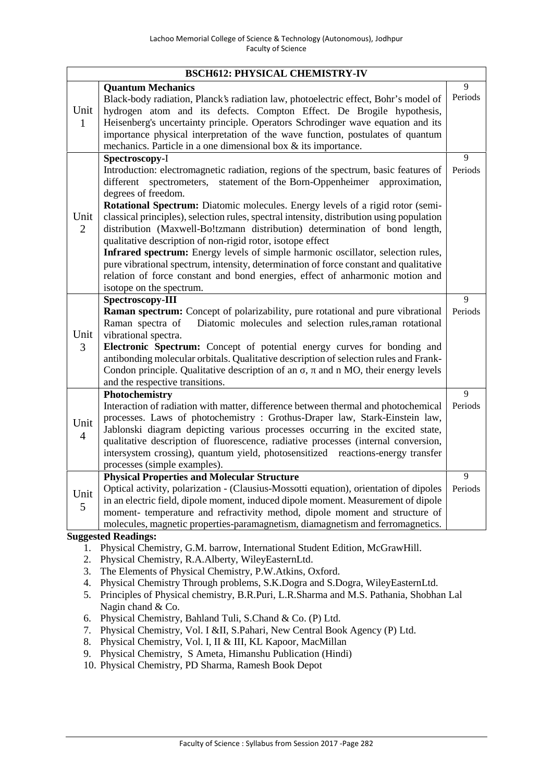| <b>Quantum Mechanics</b><br>Black-body radiation, Planck's radiation law, photoelectric effect, Bohr's model of<br>Unit<br>hydrogen atom and its defects. Compton Effect. De Brogile hypothesis,                                                                                                                                                                                                                                                                                                                                                                                                                                                                                                                                                                                                                                                                | 9                         |
|-----------------------------------------------------------------------------------------------------------------------------------------------------------------------------------------------------------------------------------------------------------------------------------------------------------------------------------------------------------------------------------------------------------------------------------------------------------------------------------------------------------------------------------------------------------------------------------------------------------------------------------------------------------------------------------------------------------------------------------------------------------------------------------------------------------------------------------------------------------------|---------------------------|
| Heisenberg's uncertainty principle. Operators Schrodinger wave equation and its<br>$\mathbf{1}$<br>importance physical interpretation of the wave function, postulates of quantum<br>mechanics. Particle in a one dimensional box $\&$ its importance.                                                                                                                                                                                                                                                                                                                                                                                                                                                                                                                                                                                                          | Periods                   |
| Spectroscopy-I<br>Introduction: electromagnetic radiation, regions of the spectrum, basic features of<br>statement of the Born-Oppenheimer approximation,<br>different<br>spectrometers,<br>degrees of freedom.<br>Rotational Spectrum: Diatomic molecules. Energy levels of a rigid rotor (semi-<br>Unit<br>classical principles), selection rules, spectral intensity, distribution using population<br>$\overline{2}$<br>distribution (Maxwell-Bo!tzmann distribution) determination of bond length,<br>qualitative description of non-rigid rotor, isotope effect<br>Infrared spectrum: Energy levels of simple harmonic oscillator, selection rules,<br>pure vibrational spectrum, intensity, determination of force constant and qualitative<br>relation of force constant and bond energies, effect of anharmonic motion and<br>isotope on the spectrum. | 9<br>Periods<br>9         |
| Spectroscopy-III<br>Raman spectrum: Concept of polarizability, pure rotational and pure vibrational<br>Diatomic molecules and selection rules, raman rotational<br>Raman spectra of<br>Unit<br>vibrational spectra.<br>Electronic Spectrum: Concept of potential energy curves for bonding and<br>3<br>antibonding molecular orbitals. Qualitative description of selection rules and Frank-<br>Condon principle. Qualitative description of an , and n MO, their energy levels<br>and the respective transitions.                                                                                                                                                                                                                                                                                                                                              | Periods                   |
| Photochemistry<br>Interaction of radiation with matter, difference between thermal and photochemical<br>processes. Laws of photochemistry : Grothus-Draper law, Stark-Einstein law,<br>Unit<br>Jablonski diagram depicting various processes occurring in the excited state,<br>$\overline{4}$<br>qualitative description of fluorescence, radiative processes (internal conversion,<br>intersystem crossing), quantum yield, photosensitized reactions-energy transfer<br>processes (simple examples).                                                                                                                                                                                                                                                                                                                                                         | 9<br>Periods              |
| <b>Physical Properties and Molecular Structure</b><br>Optical activity, polarization - (Clausius-Mossotti equation), orientation of dipoles<br>Unit<br>in an electric field, dipole moment, induced dipole moment. Measurement of dipole<br>5<br>moment- temperature and refractivity method, dipole moment and structure of<br>molecules, magnetic properties-paramagnetism, diamagnetism and ferromagnetics.<br><b>Suggested Readings:</b>                                                                                                                                                                                                                                                                                                                                                                                                                    | $\overline{9}$<br>Periods |

- 1. Physical Chemistry, G.M. barrow, International Student Edition, McGrawHill.
- 2. Physical Chemistry, R.A.Alberty, WileyEasternLtd.
- 3. The Elements of Physical Chemistry, P.W.Atkins, Oxford.
- 4. Physical Chemistry Through problems, S.K.Dogra and S.Dogra, WileyEasternLtd.
- 5. Principles of Physical chemistry, B.R.Puri, L.R.Sharma and M.S. Pathania, Shobhan Lal Nagin chand & Co.
- 6. Physical Chemistry, Bahland Tuli, S.Chand & Co. (P) Ltd.
- 7. Physical Chemistry, Vol. I &II, S.Pahari, New Central Book Agency (P) Ltd.
- 8. Physical Chemistry, Vol. I, II & III, KL Kapoor, MacMillan
- 9. Physical Chemistry, S Ameta, Himanshu Publication (Hindi)
- 10. Physical Chemistry, PD Sharma, Ramesh Book Depot